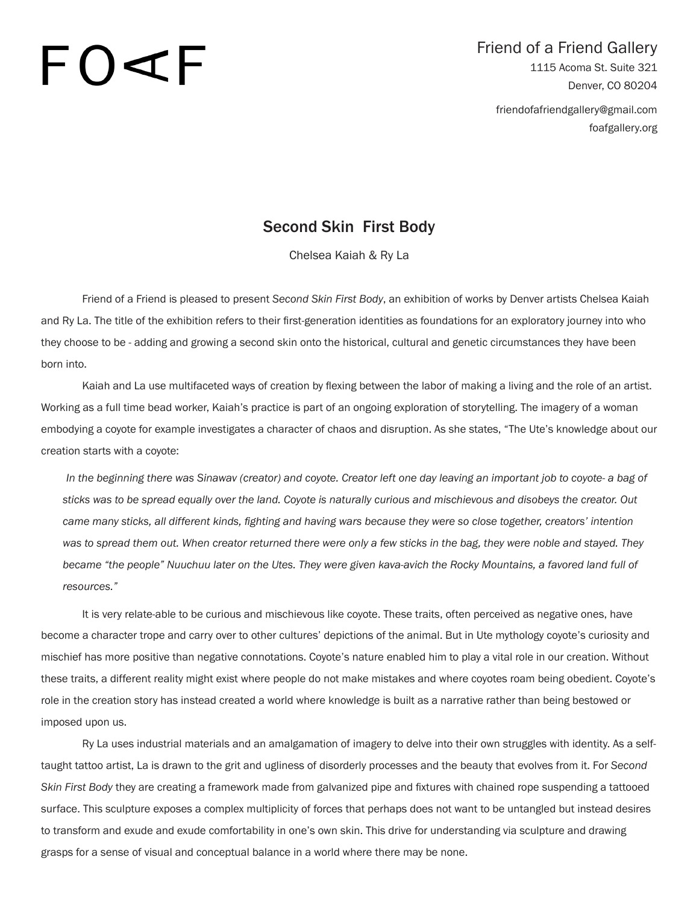# $\vdash$   $\bigcirc$   $\prec$

## Friend of a Friend Gallery 1115 Acoma St. Suite 321 Denver, CO 80204 friendofafriendgallery@gmail.com

foafgallery.org

### Second Skin First Body

Chelsea Kaiah & Ry La

Friend of a Friend is pleased to present *Second Skin First Body*, an exhibition of works by Denver artists Chelsea Kaiah and Ry La. The title of the exhibition refers to their first-generation identities as foundations for an exploratory journey into who they choose to be - adding and growing a second skin onto the historical, cultural and genetic circumstances they have been born into.

Kaiah and La use multifaceted ways of creation by flexing between the labor of making a living and the role of an artist. Working as a full time bead worker, Kaiah's practice is part of an ongoing exploration of storytelling. The imagery of a woman embodying a coyote for example investigates a character of chaos and disruption. As she states, "The Ute's knowledge about our creation starts with a coyote:

*In the beginning there was Sinawav (creator) and coyote. Creator left one day leaving an important job to coyote- a bag of sticks was to be spread equally over the land. Coyote is naturally curious and mischievous and disobeys the creator. Out came many sticks, all different kinds, fighting and having wars because they were so close together, creators' intention was to spread them out. When creator returned there were only a few sticks in the bag, they were noble and stayed. They became "the people" Nuuchuu later on the Utes. They were given kava-avich the Rocky Mountains, a favored land full of resources."*

It is very relate-able to be curious and mischievous like coyote. These traits, often perceived as negative ones, have become a character trope and carry over to other cultures' depictions of the animal. But in Ute mythology coyote's curiosity and mischief has more positive than negative connotations. Coyote's nature enabled him to play a vital role in our creation. Without these traits, a different reality might exist where people do not make mistakes and where coyotes roam being obedient. Coyote's role in the creation story has instead created a world where knowledge is built as a narrative rather than being bestowed or imposed upon us.

Ry La uses industrial materials and an amalgamation of imagery to delve into their own struggles with identity. As a selftaught tattoo artist, La is drawn to the grit and ugliness of disorderly processes and the beauty that evolves from it. For *Second Skin First Body* they are creating a framework made from galvanized pipe and fixtures with chained rope suspending a tattooed surface. This sculpture exposes a complex multiplicity of forces that perhaps does not want to be untangled but instead desires to transform and exude and exude comfortability in one's own skin. This drive for understanding via sculpture and drawing grasps for a sense of visual and conceptual balance in a world where there may be none.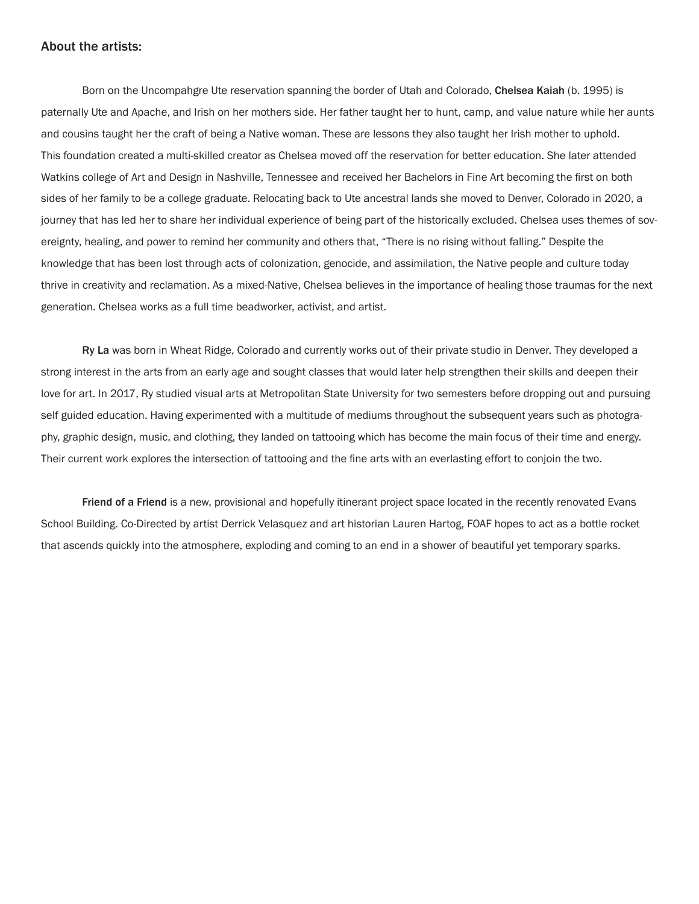#### About the artists:

Born on the Uncompahgre Ute reservation spanning the border of Utah and Colorado, Chelsea Kaiah (b. 1995) is paternally Ute and Apache, and Irish on her mothers side. Her father taught her to hunt, camp, and value nature while her aunts and cousins taught her the craft of being a Native woman. These are lessons they also taught her Irish mother to uphold. This foundation created a multi-skilled creator as Chelsea moved off the reservation for better education. She later attended Watkins college of Art and Design in Nashville, Tennessee and received her Bachelors in Fine Art becoming the first on both sides of her family to be a college graduate. Relocating back to Ute ancestral lands she moved to Denver, Colorado in 2020, a journey that has led her to share her individual experience of being part of the historically excluded. Chelsea uses themes of sovereignty, healing, and power to remind her community and others that, "There is no rising without falling." Despite the knowledge that has been lost through acts of colonization, genocide, and assimilation, the Native people and culture today thrive in creativity and reclamation. As a mixed-Native, Chelsea believes in the importance of healing those traumas for the next generation. Chelsea works as a full time beadworker, activist, and artist.

Ry La was born in Wheat Ridge, Colorado and currently works out of their private studio in Denver. They developed a strong interest in the arts from an early age and sought classes that would later help strengthen their skills and deepen their love for art. In 2017, Ry studied visual arts at Metropolitan State University for two semesters before dropping out and pursuing self guided education. Having experimented with a multitude of mediums throughout the subsequent years such as photography, graphic design, music, and clothing, they landed on tattooing which has become the main focus of their time and energy. Their current work explores the intersection of tattooing and the fine arts with an everlasting effort to conjoin the two.

Friend of a Friend is a new, provisional and hopefully itinerant project space located in the recently renovated Evans School Building. Co-Directed by artist Derrick Velasquez and art historian Lauren Hartog, FOAF hopes to act as a bottle rocket that ascends quickly into the atmosphere, exploding and coming to an end in a shower of beautiful yet temporary sparks.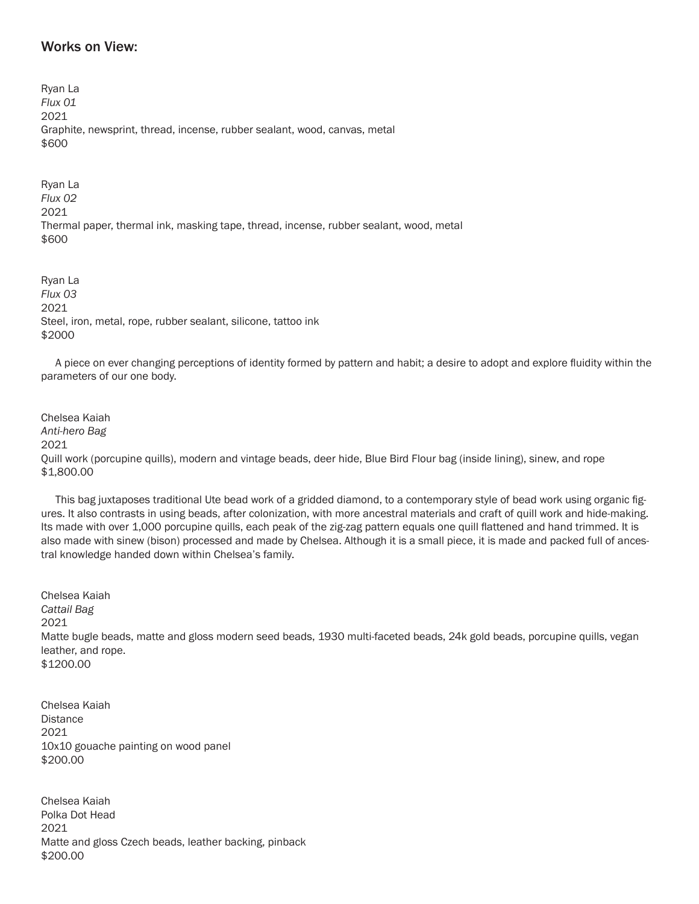#### Works on View:

Ryan La *Flux 01* 2021 Graphite, newsprint, thread, incense, rubber sealant, wood, canvas, metal \$600

Ryan La *Flux 02* 2021 Thermal paper, thermal ink, masking tape, thread, incense, rubber sealant, wood, metal \$600

Ryan La *Flux 03* 2021 Steel, iron, metal, rope, rubber sealant, silicone, tattoo ink \$2000

 A piece on ever changing perceptions of identity formed by pattern and habit; a desire to adopt and explore fluidity within the parameters of our one body.

Chelsea Kaiah *Anti-hero Bag* 2021 Quill work (porcupine quills), modern and vintage beads, deer hide, Blue Bird Flour bag (inside lining), sinew, and rope \$1,800.00

 This bag juxtaposes traditional Ute bead work of a gridded diamond, to a contemporary style of bead work using organic figures. It also contrasts in using beads, after colonization, with more ancestral materials and craft of quill work and hide-making. Its made with over 1,000 porcupine quills, each peak of the zig-zag pattern equals one quill flattened and hand trimmed. It is also made with sinew (bison) processed and made by Chelsea. Although it is a small piece, it is made and packed full of ancestral knowledge handed down within Chelsea's family.

Chelsea Kaiah *Cattail Bag* 2021 Matte bugle beads, matte and gloss modern seed beads, 1930 multi-faceted beads, 24k gold beads, porcupine quills, vegan leather, and rope. \$1200.00

Chelsea Kaiah **Distance** 2021 10x10 gouache painting on wood panel \$200.00

Chelsea Kaiah Polka Dot Head 2021 Matte and gloss Czech beads, leather backing, pinback \$200.00